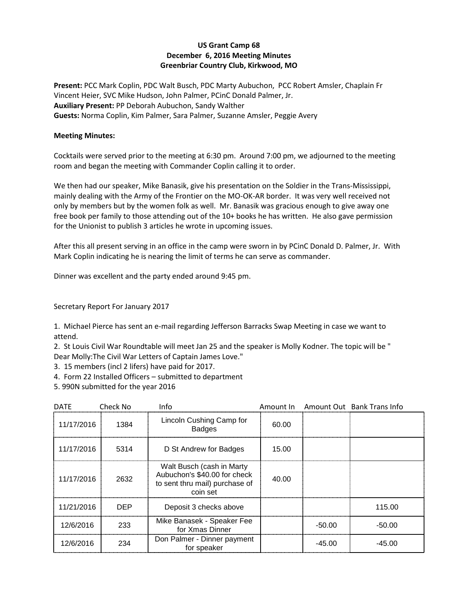## **US Grant Camp 68 December 6, 2016 Meeting Minutes Greenbriar Country Club, Kirkwood, MO**

**Present:** PCC Mark Coplin, PDC Walt Busch, PDC Marty Aubuchon, PCC Robert Amsler, Chaplain Fr Vincent Heier, SVC Mike Hudson, John Palmer, PCinC Donald Palmer, Jr. **Auxiliary Present:** PP Deborah Aubuchon, Sandy Walther **Guests:** Norma Coplin, Kim Palmer, Sara Palmer, Suzanne Amsler, Peggie Avery

## **Meeting Minutes:**

Cocktails were served prior to the meeting at 6:30 pm. Around 7:00 pm, we adjourned to the meeting room and began the meeting with Commander Coplin calling it to order.

We then had our speaker, Mike Banasik, give his presentation on the Soldier in the Trans-Mississippi, mainly dealing with the Army of the Frontier on the MO-OK-AR border. It was very well received not only by members but by the women folk as well. Mr. Banasik was gracious enough to give away one free book per family to those attending out of the 10+ books he has written. He also gave permission for the Unionist to publish 3 articles he wrote in upcoming issues.

After this all present serving in an office in the camp were sworn in by PCinC Donald D. Palmer, Jr. With Mark Coplin indicating he is nearing the limit of terms he can serve as commander.

Dinner was excellent and the party ended around 9:45 pm.

Secretary Report For January 2017

1. Michael Pierce has sent an e-mail regarding Jefferson Barracks Swap Meeting in case we want to attend.

2. St Louis Civil War Roundtable will meet Jan 25 and the speaker is Molly Kodner. The topic will be " Dear Molly:The Civil War Letters of Captain James Love."

- 3. 15 members (incl 2 lifers) have paid for 2017.
- 4. Form 22 Installed Officers submitted to department
- 5. 990N submitted for the year 2016

| <b>DATF</b> | Check No   | Info                                                                                                    | Amount In |        | Amount Out Bank Trans Info |
|-------------|------------|---------------------------------------------------------------------------------------------------------|-----------|--------|----------------------------|
| 11/17/2016  | 1384       | Lincoln Cushing Camp for<br><b>Badges</b>                                                               | 60.00     |        |                            |
| 11/17/2016  | 5314       | D St Andrew for Badges                                                                                  | 15.00     |        |                            |
| 11/17/2016  | 2632       | Walt Busch (cash in Marty<br>Aubuchon's \$40.00 for check<br>to sent thru mail) purchase of<br>coin set | 40.00     |        |                            |
| 11/21/2016  | <b>DEP</b> | Deposit 3 checks above                                                                                  |           |        | 115.00                     |
| 12/6/2016   | 233        | Mike Banasek - Speaker Fee<br>for Xmas Dinner                                                           |           | -50.00 | -50.00                     |
| 12/6/2016   | 234        | Don Palmer - Dinner payment<br>for speaker                                                              |           | -45.00 | -45.00                     |